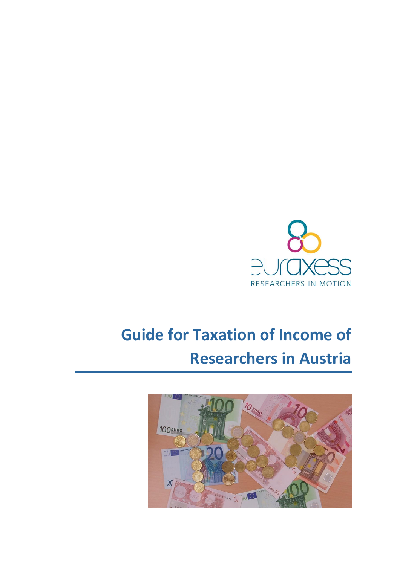

# **Guide for Taxation of Income of Researchers in Austria**

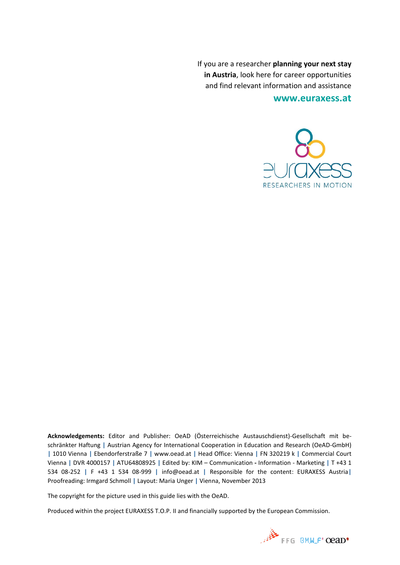If you are a researcher **planning your next stay in Austria**, look here for career opportunities and find relevant information and assistance

**[www.euraxess.at](http://www.euraxess.at/)**



**Acknowledgements:** Editor and Publisher: OeAD (Österreichische Austauschdienst)-Gesellschaft mit beschränkter Haftung **|** Austrian Agency for International Cooperation in Education and Research (OeAD-GmbH) **|** 1010 Vienna **|** Ebendorferstraße 7 **|** www.oead.at **|** Head Office: Vienna **|** FN 320219 k **|** Commercial Court Vienna **|** DVR 4000157 **|** ATU64808925 **|** Edited by: KIM – Communication **-** Information - Marketing **|** T +43 1 534 08-252 **|** F +43 1 534 08-999 **|** info@oead.at **|** Responsible for the content: EURAXESS Austria**|** Proofreading: Irmgard Schmoll **|** Layout: Maria Unger **|** Vienna, November 2013

The copyright for the picture used in this guide lies with the OeAD.

Produced within the project EURAXESS T.O.P. II and financially supported by the European Commission.

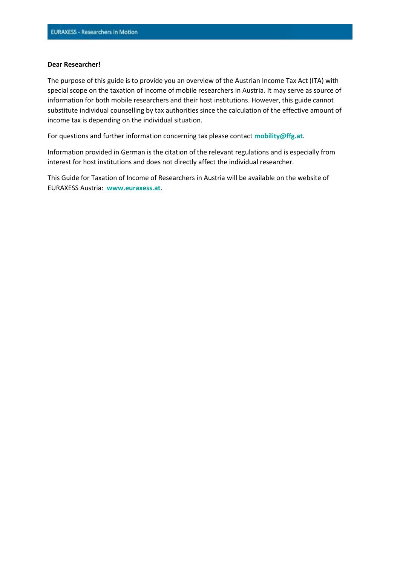#### **Dear Researcher!**

The purpose of this guide is to provide you an overview of the Austrian Income Tax Act (ITA) with special scope on the taxation of income of mobile researchers in Austria. It may serve as source of information for both mobile researchers and their host institutions. However, this guide cannot substitute individual counselling by tax authorities since the calculation of the effective amount of income tax is depending on the individual situation.

For questions and further information concerning tax please contact **[mobility@ffg.at](mailto:mobility@ffg.at)**.

Information provided in German is the citation of the relevant regulations and is especially from interest for host institutions and does not directly affect the individual researcher.

This Guide for Taxation of Income of Researchers in Austria will be available on the website of EURAXESS Austria: **[www.euraxess.at](http://www.euraxess.at/)**.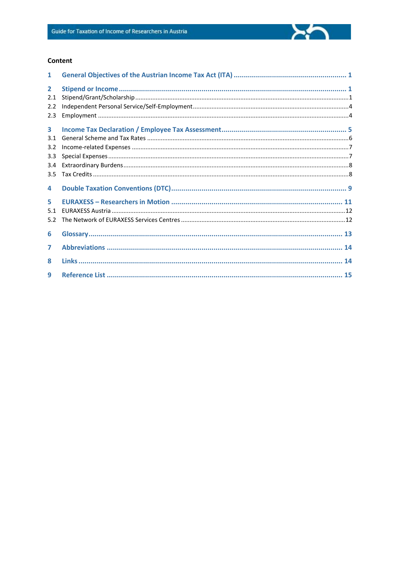#### Content

| $\mathbf{1}$ |  |
|--------------|--|
| $\mathbf{2}$ |  |
| 2.1          |  |
| 2.2          |  |
| 2.3          |  |
| 3            |  |
| 3.1          |  |
| 3.2          |  |
| 3.3          |  |
| 3.4          |  |
|              |  |
| 3.5          |  |
| 4            |  |
| 5            |  |
| 5.1          |  |
| 5.2          |  |
| 6            |  |
|              |  |
| 7            |  |
| 8            |  |
| 9            |  |

 $\sum$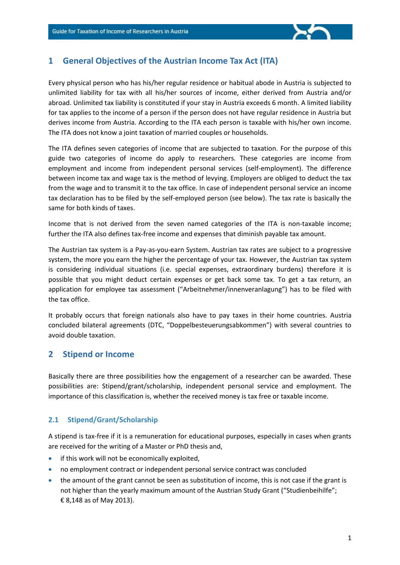

# **1 General Objectives of the Austrian Income Tax Act (ITA)**

Every physical person who has his/her regular residence or habitual abode in Austria is subjected to unlimited liability for tax with all his/her sources of income, either derived from Austria and/or abroad. Unlimited tax liability is constituted if your stay in Austria exceeds 6 month. A limited liability for tax applies to the income of a person if the person does not have regular residence in Austria but derives income from Austria. According to the ITA each person is taxable with his/her own income. The ITA does not know a joint taxation of married couples or households.

The ITA defines seven categories of income that are subjected to taxation. For the purpose of this guide two categories of income do apply to researchers. These categories are income from employment and income from independent personal services (self-employment). The difference between income tax and wage tax is the method of levying. Employers are obliged to deduct the tax from the wage and to transmit it to the tax office. In case of independent personal service an income tax declaration has to be filed by the self-employed person (see below). The tax rate is basically the same for both kinds of taxes.

Income that is not derived from the seven named categories of the ITA is non-taxable income; further the ITA also defines tax-free income and expenses that diminish payable tax amount.

The Austrian tax system is a Pay-as-you-earn System. Austrian tax rates are subject to a progressive system, the more you earn the higher the percentage of your tax. However, the Austrian tax system is considering individual situations (i.e. special expenses, extraordinary burdens) therefore it is possible that you might deduct certain expenses or get back some tax. To get a tax return, an application for employee tax assessment ("Arbeitnehmer/innenveranlagung") has to be filed with the tax office.

It probably occurs that foreign nationals also have to pay taxes in their home countries. Austria concluded bilateral agreements (DTC, "Doppelbesteuerungsabkommen") with several countries to avoid double taxation.

# **2 Stipend or Income**

Basically there are three possibilities how the engagement of a researcher can be awarded. These possibilities are: Stipend/grant/scholarship, independent personal service and employment. The importance of this classification is, whether the received money is tax free or taxable income.

## **2.1 Stipend/Grant/Scholarship**

A stipend is tax-free if it is a remuneration for educational purposes, especially in cases when grants are received for the writing of a Master or PhD thesis and,

- if this work will not be economically exploited,
- no employment contract or independent personal service contract was concluded
- the amount of the grant cannot be seen as substitution of income, this is not case if the grant is not higher than the yearly maximum amount of the Austrian Study Grant ("Studienbeihilfe"; € 8,148 as of May 2013).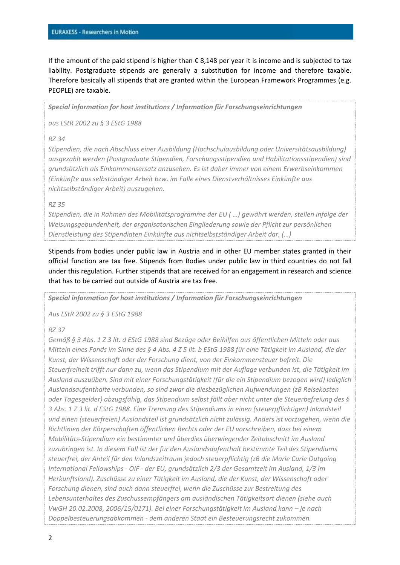If the amount of the paid stipend is higher than € 8,148 per year it is income and is subjected to tax liability. Postgraduate stipends are generally a substitution for income and therefore taxable. Therefore basically all stipends that are granted within the European Framework Programmes (e.g. PEOPLE) are taxable.

*Special information for host institutions / Information für Forschungseinrichtungen*

*aus LStR 2002 zu § 3 EStG 1988*

#### *RZ 34*

*Stipendien, die nach Abschluss einer Ausbildung (Hochschulausbildung oder Universitätsausbildung) ausgezahlt werden (Postgraduate Stipendien, Forschungsstipendien und Habilitationsstipendien) sind grundsätzlich als Einkommensersatz anzusehen. Es ist daher immer von einem Erwerbseinkommen (Einkünfte aus selbständiger Arbeit bzw. im Falle eines Dienstverhältnisses Einkünfte aus nichtselbständiger Arbeit) auszugehen.*

#### *RZ 35*

*Stipendien, die in Rahmen des Mobilitätsprogramme der EU ( …) gewährt werden, stellen infolge der Weisungsgebundenheit, der organisatorischen Eingliederung sowie der Pflicht zur persönlichen Dienstleistung des Stipendiaten Einkünfte aus nichtselbstständiger Arbeit dar, (…)*

Stipends from bodies under public law in Austria and in other EU member states granted in their official function are tax free. Stipends from Bodies under public law in third countries do not fall under this regulation. Further stipends that are received for an engagement in research and science that has to be carried out outside of Austria are tax free.

*Special information for host institutions / Information für Forschungseinrichtungen*

*Aus LStR 2002 zu § 3 EStG 1988*

#### *RZ 37*

*Gemäß § 3 Abs. 1 Z 3 lit. d EStG 1988 sind Bezüge oder Beihilfen aus öffentlichen Mitteln oder aus Mitteln eines Fonds im Sinne des § 4 Abs. 4 Z 5 lit. b EStG 1988 für eine Tätigkeit im Ausland, die der Kunst, der Wissenschaft oder der Forschung dient, von der Einkommensteuer befreit. Die Steuerfreiheit trifft nur dann zu, wenn das Stipendium mit der Auflage verbunden ist, die Tätigkeit im Ausland auszuüben. Sind mit einer Forschungstätigkeit (für die ein Stipendium bezogen wird) lediglich Auslandsaufenthalte verbunden, so sind zwar die diesbezüglichen Aufwendungen (zB Reisekosten oder Tagesgelder) abzugsfähig, das Stipendium selbst fällt aber nicht unter die Steuerbefreiung des § 3 Abs. 1 Z 3 lit. d EStG 1988. Eine Trennung des Stipendiums in einen (steuerpflichtigen) Inlandsteil und einen (steuerfreien) Auslandsteil ist grundsätzlich nicht zulässig. Anders ist vorzugehen, wenn die Richtlinien der Körperschaften öffentlichen Rechts oder der EU vorschreiben, dass bei einem Mobilitäts-Stipendium ein bestimmter und überdies überwiegender Zeitabschnitt im Ausland zuzubringen ist. In diesem Fall ist der für den Auslandsaufenthalt bestimmte Teil des Stipendiums steuerfrei, der Anteil für den Inlandszeitraum jedoch steuerpflichtig (zB die Marie Curie Outgoing International Fellowships - OIF - der EU, grundsätzlich 2/3 der Gesamtzeit im Ausland, 1/3 im Herkunftsland). Zuschüsse zu einer Tätigkeit im Ausland, die der Kunst, der Wissenschaft oder Forschung dienen, sind auch dann steuerfrei, wenn die Zuschüsse zur Bestreitung des Lebensunterhaltes des Zuschussempfängers am ausländischen Tätigkeitsort dienen (siehe auch VwGH 20.02.2008, 2006/15/0171). Bei einer Forschungstätigkeit im Ausland kann – je nach Doppelbesteuerungsabkommen - dem anderen Staat ein Besteuerungsrecht zukommen.*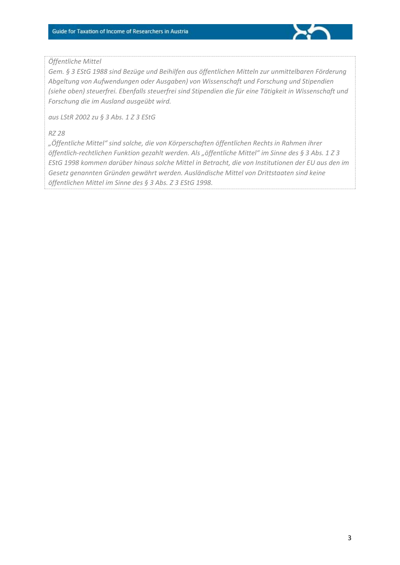

#### *Öffentliche Mittel*

*Gem. § 3 EStG 1988 sind Bezüge und Beihilfen aus öffentlichen Mitteln zur unmittelbaren Förderung Abgeltung von Aufwendungen oder Ausgaben) von Wissenschaft und Forschung und Stipendien (siehe oben) steuerfrei. Ebenfalls steuerfrei sind Stipendien die für eine Tätigkeit in Wissenschaft und Forschung die im Ausland ausgeübt wird.* 

*aus LStR 2002 zu § 3 Abs. 1 Z 3 EStG*

#### *RZ 28*

*"Öffentliche Mittel" sind solche, die von Körperschaften öffentlichen Rechts in Rahmen ihrer öffentlich-rechtlichen Funktion gezahlt werden. Als "öffentliche Mittel" im Sinne des § 3 Abs. 1 Z 3 EStG 1998 kommen darüber hinaus solche Mittel in Betracht, die von Institutionen der EU aus den im Gesetz genannten Gründen gewährt werden. Ausländische Mittel von Drittstaaten sind keine öffentlichen Mittel im Sinne des § 3 Abs. Z 3 EStG 1998.*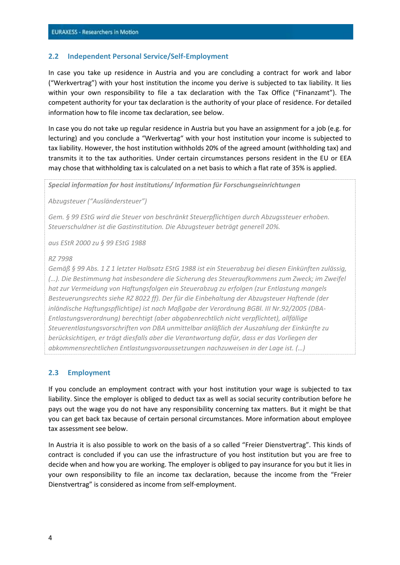#### **2.2 Independent Personal Service/Self-Employment**

In case you take up residence in Austria and you are concluding a contract for work and labor ("Werkvertrag") with your host institution the income you derive is subjected to tax liability. It lies within your own responsibility to file a tax declaration with the Tax Office ("Finanzamt"). The competent authority for your tax declaration is the authority of your place of residence. For detailed information how to file income tax declaration, see below.

In case you do not take up regular residence in Austria but you have an assignment for a job (e.g. for lecturing) and you conclude a "Werkvertag" with your host institution your income is subjected to tax liability. However, the host institution withholds 20% of the agreed amount (withholding tax) and transmits it to the tax authorities. Under certain circumstances persons resident in the EU or EEA may chose that withholding tax is calculated on a net basis to which a flat rate of 35% is applied.

*Special information for host institutions/ Information für Forschungseinrichtungen*

*Abzugsteuer ("Ausländersteuer")*

*Gem. § 99 EStG wird die Steuer von beschränkt Steuerpflichtigen durch Abzugssteuer erhoben. Steuerschuldner ist die Gastinstitution. Die Abzugsteuer beträgt generell 20%.*

*aus EStR 2000 zu § 99 EStG 1988*

#### *RZ 7998*

*Gemäß § 99 Abs. 1 Z 1 letzter Halbsatz EStG 1988 ist ein Steuerabzug bei diesen Einkünften zulässig, (…). Die Bestimmung hat insbesondere die Sicherung des Steueraufkommens zum Zweck; im Zweifel hat zur Vermeidung von Haftungsfolgen ein Steuerabzug zu erfolgen (zur Entlastung mangels Besteuerungsrechts siehe RZ 8022 ff). Der für die Einbehaltung der Abzugsteuer Haftende (der inländische Haftungspflichtige) ist nach Maßgabe der Verordnung BGBl. III Nr.92/2005 (DBA-Entlastungsverordnung) berechtigt (aber abgabenrechtlich nicht verpflichtet), allfällige Steuerentlastungsvorschriften von DBA unmittelbar anläßlich der Auszahlung der Einkünfte zu berücksichtigen, er trägt diesfalls aber die Verantwortung dafür, dass er das Vorliegen der abkommensrechtlichen Entlastungsvoraussetzungen nachzuweisen in der Lage ist. (…)*

#### **2.3 Employment**

If you conclude an employment contract with your host institution your wage is subjected to tax liability. Since the employer is obliged to deduct tax as well as social security contribution before he pays out the wage you do not have any responsibility concerning tax matters. But it might be that you can get back tax because of certain personal circumstances. More information about employee tax assessment see below.

In Austria it is also possible to work on the basis of a so called "Freier Dienstvertrag". This kinds of contract is concluded if you can use the infrastructure of you host institution but you are free to decide when and how you are working. The employer is obliged to pay insurance for you but it lies in your own responsibility to file an income tax declaration, because the income from the "Freier Dienstvertrag" is considered as income from self-employment.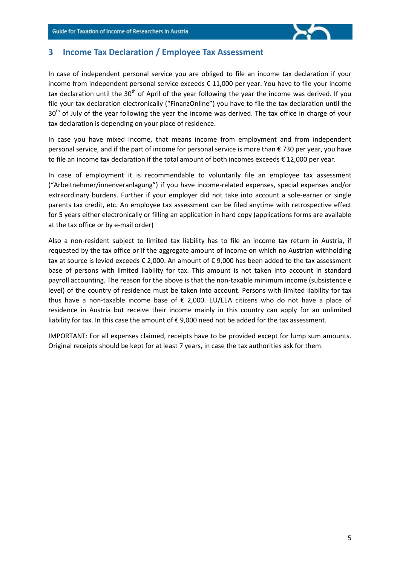

## **3 Income Tax Declaration / Employee Tax Assessment**

In case of independent personal service you are obliged to file an income tax declaration if your income from independent personal service exceeds € 11,000 per year. You have to file your income tax declaration until the 30<sup>th</sup> of April of the year following the year the income was derived. If you file your tax declaration electronically ("FinanzOnline") you have to file the tax declaration until the  $30<sup>th</sup>$  of July of the year following the year the income was derived. The tax office in charge of your tax declaration is depending on your place of residence.

In case you have mixed income, that means income from employment and from independent personal service, and if the part of income for personal service is more than € 730 per year, you have to file an income tax declaration if the total amount of both incomes exceeds € 12,000 per year.

In case of employment it is recommendable to voluntarily file an employee tax assessment ("Arbeitnehmer/innenveranlagung") if you have income-related expenses, special expenses and/or extraordinary burdens. Further if your employer did not take into account a sole-earner or single parents tax credit, etc. An employee tax assessment can be filed anytime with retrospective effect for 5 years either electronically or filling an application in hard copy (applications forms are available at the tax office or by e-mail order)

Also a non-resident subject to limited tax liability has to file an income tax return in Austria, if requested by the tax office or if the aggregate amount of income on which no Austrian withholding tax at source is levied exceeds € 2,000. An amount of € 9,000 has been added to the tax assessment base of persons with limited liability for tax. This amount is not taken into account in standard payroll accounting. The reason for the above is that the non-taxable minimum income (subsistence e level) of the country of residence must be taken into account. Persons with limited liability for tax thus have a non-taxable income base of  $\epsilon$  2,000. EU/EEA citizens who do not have a place of residence in Austria but receive their income mainly in this country can apply for an unlimited liability for tax. In this case the amount of € 9,000 need not be added for the tax assessment.

IMPORTANT: For all expenses claimed, receipts have to be provided except for lump sum amounts. Original receipts should be kept for at least 7 years, in case the tax authorities ask for them.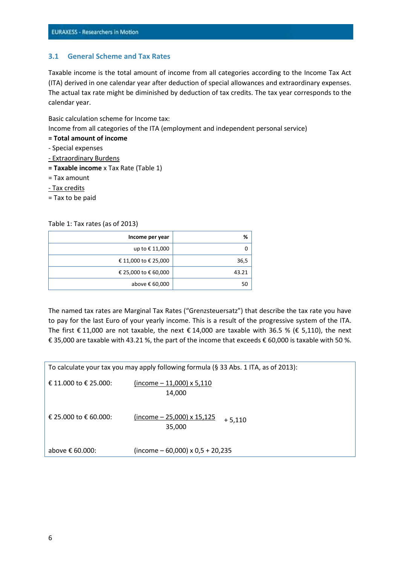#### **3.1 General Scheme and Tax Rates**

Taxable income is the total amount of income from all categories according to the Income Tax Act (ITA) derived in one calendar year after deduction of special allowances and extraordinary expenses. The actual tax rate might be diminished by deduction of tax credits. The tax year corresponds to the calendar year.

Basic calculation scheme for Income tax:

Income from all categories of the ITA (employment and independent personal service)

- **= Total amount of income**
- Special expenses
- Extraordinary Burdens
- **= Taxable income** x Tax Rate (Table 1)
- = Tax amount
- Tax credits
- = Tax to be paid

Table 1: Tax rates (as of 2013)

| %     | Income per year      |
|-------|----------------------|
|       | up to € 11,000       |
| 36,5  | € 11,000 to € 25,000 |
| 43.21 | € 25,000 to € 60,000 |
| 50    | above € 60,000       |

The named tax rates are Marginal Tax Rates ("Grenzsteuersatz") that describe the tax rate you have to pay for the last Euro of your yearly income. This is a result of the progressive system of the ITA. The first  $\epsilon$  11,000 are not taxable, the next  $\epsilon$  14,000 are taxable with 36.5 % ( $\epsilon$  5,110), the next € 35,000 are taxable with 43.21 %, the part of the income that exceeds € 60,000 is taxable with 50 %.

| To calculate your tax you may apply following formula (§ 33 Abs. 1 ITA, as of 2013): |                                                         |  |  |  |  |
|--------------------------------------------------------------------------------------|---------------------------------------------------------|--|--|--|--|
| € 11.000 to € 25.000:                                                                | $(income - 11,000)$ x 5,110<br>14,000                   |  |  |  |  |
| € 25.000 to € 60.000:                                                                | $(income - 25,000) \times 15,125$<br>$+5.110$<br>35,000 |  |  |  |  |
| above € 60.000:                                                                      | $(income - 60,000) \times 0.5 + 20,235$                 |  |  |  |  |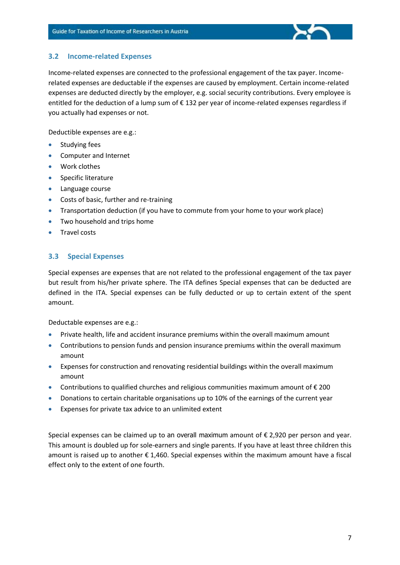

#### **3.2 Income-related Expenses**

Income-related expenses are connected to the professional engagement of the tax payer. Incomerelated expenses are deductable if the expenses are caused by employment. Certain income-related expenses are deducted directly by the employer, e.g. social security contributions. Every employee is entitled for the deduction of a lump sum of € 132 per year of income-related expenses regardless if you actually had expenses or not.

Deductible expenses are e.g.:

- **•** Studying fees
- Computer and Internet
- Work clothes
- **•** Specific literature
- Language course
- Costs of basic, further and re-training
- Transportation deduction (if you have to commute from your home to your work place)
- Two household and trips home
- **•** Travel costs

#### **3.3 Special Expenses**

Special expenses are expenses that are not related to the professional engagement of the tax payer but result from his/her private sphere. The ITA defines Special expenses that can be deducted are defined in the ITA. Special expenses can be fully deducted or up to certain extent of the spent amount.

Deductable expenses are e.g.:

- Private health, life and accident insurance premiums within the overall maximum amount
- Contributions to pension funds and pension insurance premiums within the overall maximum amount
- Expenses for construction and renovating residential buildings within the overall maximum amount
- Contributions to qualified churches and religious communities maximum amount of € 200
- Donations to certain charitable organisations up to 10% of the earnings of the current year
- Expenses for private tax advice to an unlimited extent

Special expenses can be claimed up to an overall maximum amount of € 2,920 per person and year. This amount is doubled up for sole-earners and single parents. If you have at least three children this amount is raised up to another € 1,460. Special expenses within the maximum amount have a fiscal effect only to the extent of one fourth.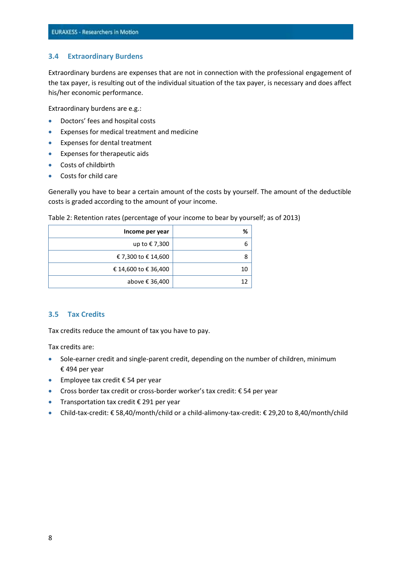#### **3.4 Extraordinary Burdens**

Extraordinary burdens are expenses that are not in connection with the professional engagement of the tax payer, is resulting out of the individual situation of the tax payer, is necessary and does affect his/her economic performance.

Extraordinary burdens are e.g.:

- **•** Doctors' fees and hospital costs
- Expenses for medical treatment and medicine
- Expenses for dental treatment
- Expenses for therapeutic aids
- Costs of childbirth
- Costs for child care

Generally you have to bear a certain amount of the costs by yourself. The amount of the deductible costs is graded according to the amount of your income.

| Income per year      | %  |
|----------------------|----|
| up to €7,300         | 6  |
| € 7,300 to € 14,600  | 8  |
| € 14,600 to € 36,400 | 10 |
| above € 36,400       | 12 |

Table 2: Retention rates (percentage of your income to bear by yourself; as of 2013)

#### **3.5 Tax Credits**

Tax credits reduce the amount of tax you have to pay.

Tax credits are:

- Sole-earner credit and single-parent credit, depending on the number of children, minimum € 494 per year
- Employee tax credit € 54 per year
- Cross border tax credit or cross-border worker's tax credit: € 54 per year
- Transportation tax credit € 291 per year
- Child-tax-credit: € 58,40/month/child or a child-alimony-tax-credit: € 29,20 to 8,40/month/child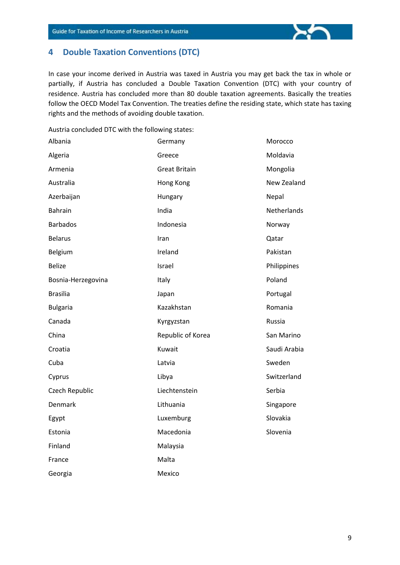

In case your income derived in Austria was taxed in Austria you may get back the tax in whole or partially, if Austria has concluded a Double Taxation Convention (DTC) with your country of residence. Austria has concluded more than 80 double taxation agreements. Basically the treaties follow the OECD Model Tax Convention. The treaties define the residing state, which state has taxing rights and the methods of avoiding double taxation.

Austria concluded DTC with the following states:

| Albania            | Germany              | Morocco      |
|--------------------|----------------------|--------------|
| Algeria            | Greece               | Moldavia     |
| Armenia            | <b>Great Britain</b> | Mongolia     |
| Australia          | Hong Kong            | New Zealand  |
| Azerbaijan         | Hungary              | Nepal        |
| <b>Bahrain</b>     | India                | Netherlands  |
| <b>Barbados</b>    | Indonesia            | Norway       |
| <b>Belarus</b>     | Iran                 | Qatar        |
| Belgium            | Ireland              | Pakistan     |
| <b>Belize</b>      | Israel               | Philippines  |
| Bosnia-Herzegovina | Italy                | Poland       |
| <b>Brasilia</b>    | Japan                | Portugal     |
| <b>Bulgaria</b>    | Kazakhstan           | Romania      |
| Canada             | Kyrgyzstan           | Russia       |
| China              | Republic of Korea    | San Marino   |
| Croatia            | Kuwait               | Saudi Arabia |
| Cuba               | Latvia               | Sweden       |
| Cyprus             | Libya                | Switzerland  |
| Czech Republic     | Liechtenstein        | Serbia       |
| Denmark            | Lithuania            | Singapore    |
| Egypt              | Luxemburg            | Slovakia     |
| Estonia            | Macedonia            | Slovenia     |
| Finland            | Malaysia             |              |
| France             | Malta                |              |
| Georgia            | Mexico               |              |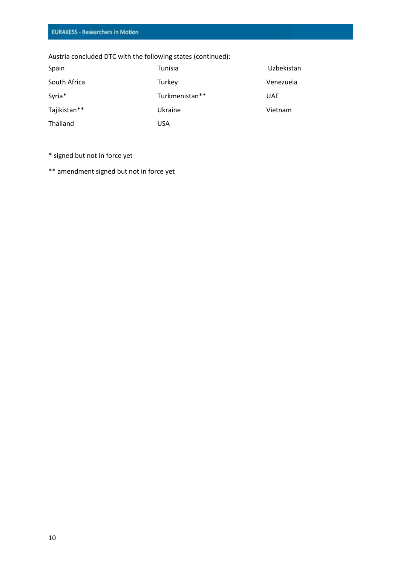Austria concluded DTC with the following states (continued):

| Spain        | Tunisia        | Uzbekistan |
|--------------|----------------|------------|
| South Africa | Turkey         | Venezuela  |
| Syria*       | Turkmenistan** | <b>UAE</b> |
| Tajikistan** | Ukraine        | Vietnam    |
| Thailand     | USA            |            |

\* signed but not in force yet

\*\* amendment signed but not in force yet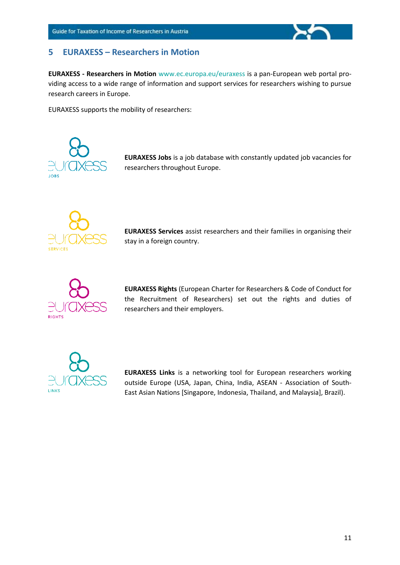

**EURAXESS - Researchers in Motion** [www.ec.europa.eu/euraxess](http://www.ec.europa.eu/euraxess) is a pan-European web portal providing access to a wide range of information and support services for researchers wishing to pursue research careers in Europe.

EURAXESS supports the mobility of researchers:



**EURAXESS Jobs** is a job database with constantly updated job vacancies for researchers throughout Europe.



**EURAXESS Services** assist researchers and their families in organising their stay in a foreign country.



**EURAXESS Rights** (European Charter for Researchers & Code of Conduct for the Recruitment of Researchers) set out the rights and duties of researchers and their employers.



**EURAXESS Links** is a networking tool for European researchers working outside Europe (USA, Japan, China, India, ASEAN - Association of South-East Asian Nations [Singapore, Indonesia, Thailand, and Malaysia], Brazil).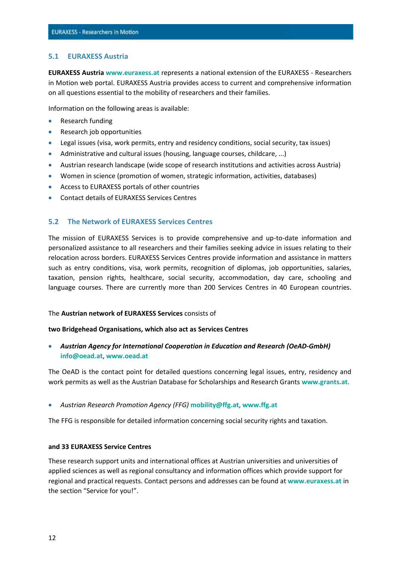#### **5.1 EURAXESS Austria**

**EURAXESS Austria [www.euraxess.at](http://www.euraxess.at/)** represents a national extension of the EURAXESS - Researchers in Motion web portal. EURAXESS Austria provides access to current and comprehensive information on all questions essential to the mobility of researchers and their families.

Information on the following areas is available:

- Research funding
- Research job opportunities
- Legal issues (visa, work permits, entry and residency conditions, social security, tax issues)
- Administrative and cultural issues (housing, language courses, childcare, ...)
- Austrian research landscape (wide scope of research institutions and activities across Austria)
- Women in science (promotion of women, strategic information, activities, databases)
- Access to EURAXESS portals of other countries
- Contact details of EURAXESS Services Centres

#### **5.2 The Network of EURAXESS Services Centres**

The mission of EURAXESS Services is to provide comprehensive and up-to-date information and personalized assistance to all researchers and their families seeking advice in issues relating to their relocation across borders. EURAXESS Services Centres provide information and assistance in matters such as entry conditions, visa, work permits, recognition of diplomas, job opportunities, salaries, taxation, pension rights, healthcare, social security, accommodation, day care, schooling and language courses. There are currently more than 200 Services Centres in 40 European countries.

#### The **Austrian network of EURAXESS Services** consists of

#### **two Bridgehead Organisations, which also act as Services Centres**

 *Austrian Agency for International Cooperation in Education and Research (OeAD-GmbH)* **[info@oead.at](mailto:info@oead.at)**, **[www.oead.at](http://www.oead.at/)**

The OeAD is the contact point for detailed questions concerning legal issues, entry, residency and work permits as well as the Austrian Database for Scholarships and Research Grants **[www.grants.at](http://www.grants.at/)**.

*Austrian Research Promotion Agency (FFG)* **[mobility@ffg.at](mailto:mobility@ffg.at)**, **[www.ffg.at](http://www.ffg.at/)**

The FFG is responsible for detailed information concerning social security rights and taxation.

#### **and 33 EURAXESS Service Centres**

These research support units and international offices at Austrian universities and universities of applied sciences as well as regional consultancy and information offices which provide support for regional and practical requests. Contact persons and addresses can be found at **[www.euraxess.at](http://www.euraxess.at/)** in the section "Service for you!".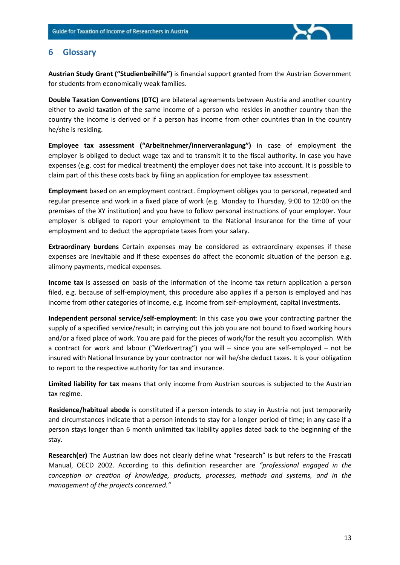

# **6 Glossary**

**Austrian Study Grant ("Studienbeihilfe")** is financial support granted from the Austrian Government for students from economically weak families.

**Double Taxation Conventions (DTC)** are bilateral agreements between Austria and another country either to avoid taxation of the same income of a person who resides in another country than the country the income is derived or if a person has income from other countries than in the country he/she is residing.

**Employee tax assessment ("Arbeitnehmer/innerveranlagung")** in case of employment the employer is obliged to deduct wage tax and to transmit it to the fiscal authority. In case you have expenses (e.g. cost for medical treatment) the employer does not take into account. It is possible to claim part of this these costs back by filing an application for employee tax assessment.

**Employment** based on an employment contract. Employment obliges you to personal, repeated and regular presence and work in a fixed place of work (e.g. Monday to Thursday, 9:00 to 12:00 on the premises of the XY institution) and you have to follow personal instructions of your employer. Your employer is obliged to report your employment to the National Insurance for the time of your employment and to deduct the appropriate taxes from your salary.

**Extraordinary burdens** Certain expenses may be considered as extraordinary expenses if these expenses are inevitable and if these expenses do affect the economic situation of the person e.g. alimony payments, medical expenses.

**Income tax** is assessed on basis of the information of the income tax return application a person filed, e.g. because of self-employment, this procedure also applies if a person is employed and has income from other categories of income, e.g. income from self-employment, capital investments.

**Independent personal service/self-employment**: In this case you owe your contracting partner the supply of a specified service/result; in carrying out this job you are not bound to fixed working hours and/or a fixed place of work. You are paid for the pieces of work/for the result you accomplish. With a contract for work and labour ("Werkvertrag") you will – since you are self-employed – not be insured with National Insurance by your contractor nor will he/she deduct taxes. It is your obligation to report to the respective authority for tax and insurance.

**Limited liability for tax** means that only income from Austrian sources is subjected to the Austrian tax regime.

**Residence/habitual abode** is constituted if a person intends to stay in Austria not just temporarily and circumstances indicate that a person intends to stay for a longer period of time; in any case if a person stays longer than 6 month unlimited tax liability applies dated back to the beginning of the stay.

**Research(er)** The Austrian law does not clearly define what "research" is but refers to the Frascati Manual, OECD 2002. According to this definition researcher are *"professional engaged in the conception or creation of knowledge, products, processes, methods and systems, and in the management of the projects concerned."*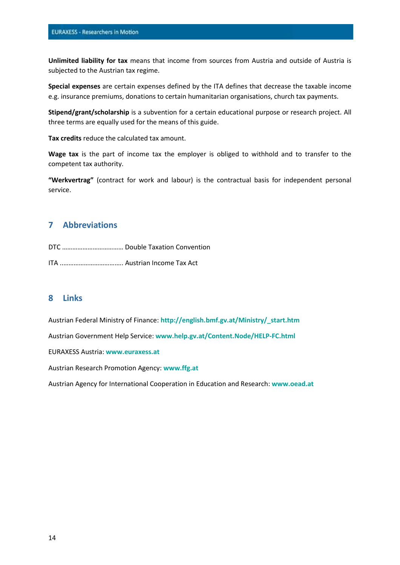**Unlimited liability for tax** means that income from sources from Austria and outside of Austria is subjected to the Austrian tax regime.

**Special expenses** are certain expenses defined by the ITA defines that decrease the taxable income e.g. insurance premiums, donations to certain humanitarian organisations, church tax payments.

**Stipend/grant/scholarship** is a subvention for a certain educational purpose or research project. All three terms are equally used for the means of this guide.

**Tax credits** reduce the calculated tax amount.

**Wage tax** is the part of income tax the employer is obliged to withhold and to transfer to the competent tax authority.

**"Werkvertrag"** (contract for work and labour) is the contractual basis for independent personal service.

# **7 Abbreviations**

DTC ……………………………… Double Taxation Convention

ITA ..………………………….…. Austrian Income Tax Act

#### **8 Links**

Austrian Federal Ministry of Finance: **[http://english.bmf.gv.at/Ministry/\\_start.htm](http://english.bmf.gv.at/Ministry/_start.htm)**

Austrian Government Help Service: **[www.help.gv.at/Content.Node/HELP-FC.html](http://www.help.gv.at/Content.Node/HELP-FC.html)**

EURAXESS Austria: **[www.euraxess.at](http://www.euraxess.at/)**

Austrian Research Promotion Agency: **[www.ffg.at](http://www.ffg.at/)**

Austrian Agency for International Cooperation in Education and Research: **[www.oead.at](http://www.oead.at/)**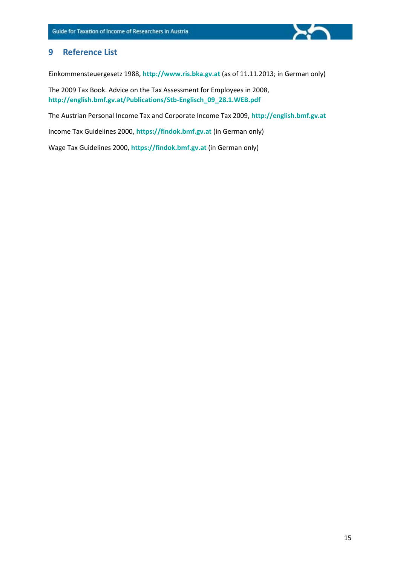

Einkommensteuergesetz 1988, **[http://www.ris.bka.gv.at](http://www.ris.bka.gv.at/)** (as of 11.11.2013; in German only)

The 2009 Tax Book. Advice on the Tax Assessment for Employees in 2008, **[http://english.bmf.gv.at/Publications/Stb-Englisch\\_09\\_28.1.WEB.pdf](http://english.bmf.gv.at/Publications/Stb-Englisch_09_28.1.WEB.pdf)**

The Austrian Personal Income Tax and Corporate Income Tax 2009, **[http://english.bmf.gv.at](http://english.bmf.gv.at/)**

Income Tax Guidelines 2000, **[https://findok.bmf.gv.at](https://findok.bmf.gv.at/)** (in German only)

Wage Tax Guidelines 2000, **[https://findok.bmf.gv.at](https://findok.bmf.gv.at/)** (in German only)